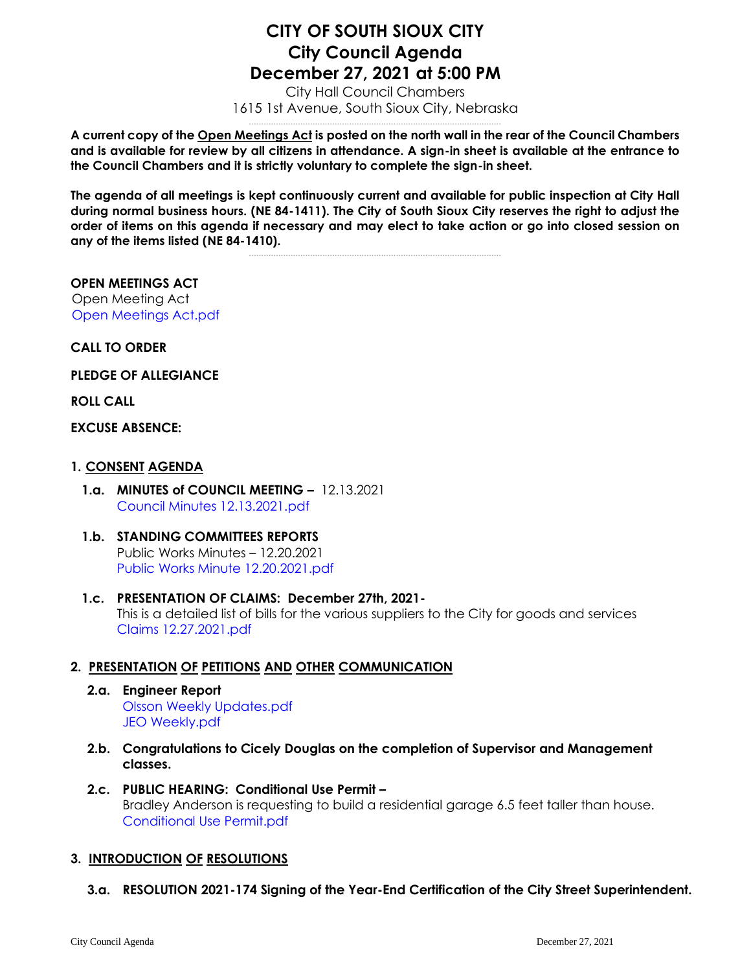# **CITY OF SOUTH SIOUX CITY City Council Agenda December 27, 2021 at 5:00 PM**

City Hall Council Chambers 1615 1st Avenue, South Sioux City, Nebraska .......................................................................................................

**A current copy of the Open Meetings Act is posted on the north wall in the rear of the Council Chambers and is available for review by all citizens in attendance. A sign-in sheet is available at the entrance to the Council Chambers and it is strictly voluntary to complete the sign-in sheet.**

**The agenda of all meetings is kept continuously current and available for public inspection at City Hall during normal business hours. (NE 84-1411). The City of South Sioux City reserves the right to adjust the order of items on this agenda if necessary and may elect to take action or go into closed session on any of the items listed (NE 84-1410).**

.......................................................................................................

**OPEN MEETINGS ACT** Open Meeting Act [Open Meetings Act.pdf](https://legistarweb-production.s3.amazonaws.com/uploads/attachment/pdf/1185839/Open_Meetings_Act.pdf)

**CALL TO ORDER**

**PLEDGE OF ALLEGIANCE** 

**ROLL CALL**

#### **EXCUSE ABSENCE:**

- **1. CONSENT AGENDA**
	- **1.a. MINUTES of COUNCIL MEETING –** 12.13.2021 [Council Minutes 12.13.2021.pdf](https://legistarweb-production.s3.amazonaws.com/uploads/attachment/pdf/1185858/Council_Minutes_12.13.2021.pdf)
	- **1.b. STANDING COMMITTEES REPORTS** Public Works Minutes – 12.20.2021 [Public Works Minute 12.20.2021.pdf](https://legistarweb-production.s3.amazonaws.com/uploads/attachment/pdf/1185864/Public_Works_Minute_12.20.2021.pdf)
	- **1.c. PRESENTATION OF CLAIMS: December 27th, 2021-** This is a detailed list of bills for the various suppliers to the City for goods and services [Claims 12.27.2021.pdf](https://legistarweb-production.s3.amazonaws.com/uploads/attachment/pdf/1185865/Claims_12.27.2021.pdf)

## **2. PRESENTATION OF PETITIONS AND OTHER COMMUNICATION**

- **2.a. Engineer Report** [Olsson Weekly Updates.pdf](https://legistarweb-production.s3.amazonaws.com/uploads/attachment/pdf/1185866/Olsson_Weekly_Updates.pdf) [JEO Weekly.pdf](https://legistarweb-production.s3.amazonaws.com/uploads/attachment/pdf/1185867/JEO_Weekly.pdf)
- **2.b. Congratulations to Cicely Douglas on the completion of Supervisor and Management classes.**
- **2.c. PUBLIC HEARING: Conditional Use Permit –** Bradley Anderson is requesting to build a residential garage 6.5 feet taller than house. [Conditional Use Permit.pdf](https://legistarweb-production.s3.amazonaws.com/uploads/attachment/pdf/1185868/Conditional_Use_Permit.pdf)

## **3. INTRODUCTION OF RESOLUTIONS**

**3.a. RESOLUTION 2021-174 Signing of the Year-End Certification of the City Street Superintendent.**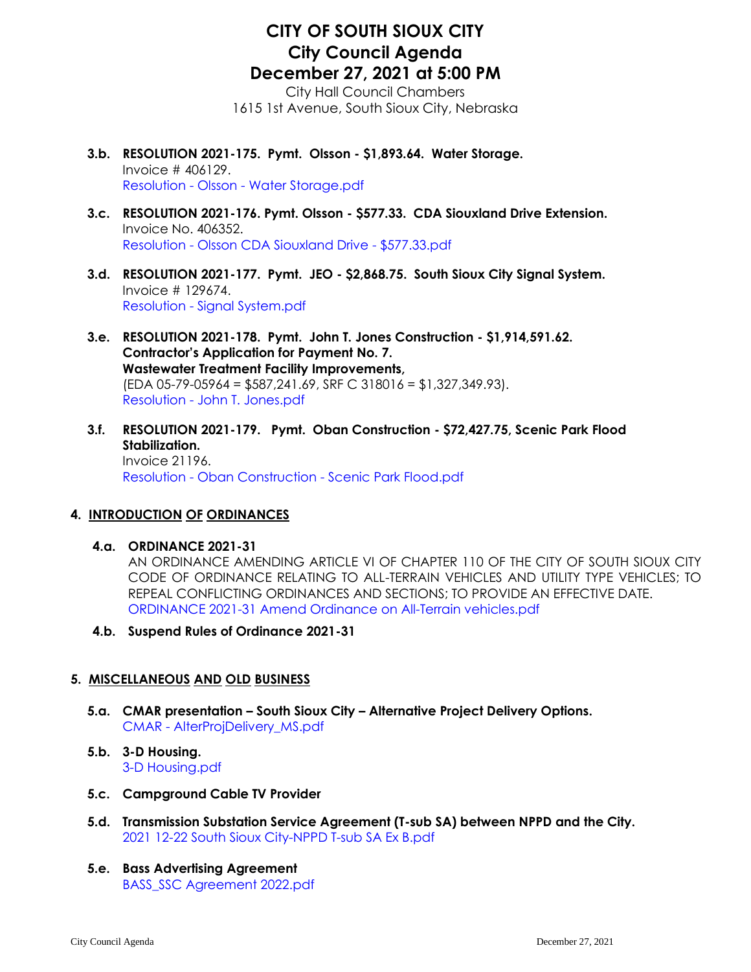## **CITY OF SOUTH SIOUX CITY City Council Agenda December 27, 2021 at 5:00 PM**

City Hall Council Chambers 1615 1st Avenue, South Sioux City, Nebraska

- **3.b. RESOLUTION 2021-175. Pymt. Olsson - \$1,893.64. Water Storage.**  Invoice # 406129. Resolution - Olsson - [Water Storage.pdf](https://legistarweb-production.s3.amazonaws.com/uploads/attachment/pdf/1185880/Resolution_-_Olsson_-_Water_Storage.pdf)
- **3.c. RESOLUTION 2021-176. Pymt. Olsson - \$577.33. CDA Siouxland Drive Extension.**  Invoice No. 406352. Resolution - [Olsson CDA Siouxland Drive -](https://legistarweb-production.s3.amazonaws.com/uploads/attachment/pdf/1185882/Resolution_-_Olsson_CDA_Siouxland_Drive_-__577.33.pdf) \$577.33.pdf
- **3.d. RESOLUTION 2021-177. Pymt. JEO - \$2,868.75. South Sioux City Signal System.**  Invoice # 129674. Resolution - [Signal System.pdf](https://legistarweb-production.s3.amazonaws.com/uploads/attachment/pdf/1185941/Resolution_-_Signal_System.pdf)
- **3.e. RESOLUTION 2021-178. Pymt. John T. Jones Construction - \$1,914,591.62. Contractor's Application for Payment No. 7. Wastewater Treatment Facility Improvements,**  (EDA 05-79-05964 = \$587,241.69, SRF C 318016 = \$1,327,349.93). Resolution - [John T. Jones.pdf](https://legistarweb-production.s3.amazonaws.com/uploads/attachment/pdf/1185886/Resolution_-_John_T._Jones.pdf)
- **3.f. RESOLUTION 2021-179. Pymt. Oban Construction - \$72,427.75, Scenic Park Flood Stabilization.**  Invoice 21196. Resolution - Oban Construction - [Scenic Park Flood.pdf](https://legistarweb-production.s3.amazonaws.com/uploads/attachment/pdf/1185887/Resolution_-_Oban_Construction_-_Scenic_Park_Flood.pdf)

#### **4. INTRODUCTION OF ORDINANCES**

**4.a. ORDINANCE 2021-31**

AN ORDINANCE AMENDING ARTICLE VI OF CHAPTER 110 OF THE CITY OF SOUTH SIOUX CITY CODE OF ORDINANCE RELATING TO ALL-TERRAIN VEHICLES AND UTILITY TYPE VEHICLES; TO REPEAL CONFLICTING ORDINANCES AND SECTIONS; TO PROVIDE AN EFFECTIVE DATE. [ORDINANCE 2021-31 Amend Ordinance on All-Terrain vehicles.pdf](https://legistarweb-production.s3.amazonaws.com/uploads/attachment/pdf/1185891/ORDINANCE_2021-31_Amend_Ordinance_on_All-Terrain_vehicles.pdf)

**4.b. Suspend Rules of Ordinance 2021-31**

#### **5. MISCELLANEOUS AND OLD BUSINESS**

- **5.a. CMAR presentation – South Sioux City – Alternative Project Delivery Options.**  CMAR - [AlterProjDelivery\\_MS.pdf](https://legistarweb-production.s3.amazonaws.com/uploads/attachment/pdf/1185895/CMAR_-_AlterProjDelivery_MS.pdf)
- **5.b. 3-D Housing.**  [3-D Housing.pdf](https://legistarweb-production.s3.amazonaws.com/uploads/attachment/pdf/1185911/3-D_Housing.pdf)
- **5.c. Campground Cable TV Provider**
- **5.d. Transmission Substation Service Agreement (T-sub SA) between NPPD and the City.**  [2021 12-22 South Sioux City-NPPD T-sub SA Ex B.pdf](https://legistarweb-production.s3.amazonaws.com/uploads/attachment/pdf/1185916/2021_12-22_South_Sioux_City-NPPD_T-sub_SA_Ex_B.pdf)
- **5.e. Bass Advertising Agreement** [BASS\\_SSC Agreement 2022.pdf](https://legistarweb-production.s3.amazonaws.com/uploads/attachment/pdf/1185972/BASS_SSC_Agreement_2022.pdf)